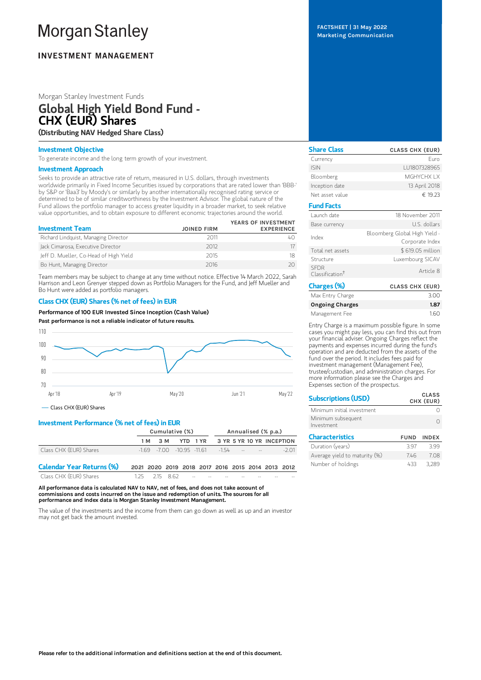# **Morgan Stanley**

# **INVESTMENT MANAGEMENT**

## Morgan Stanley Investment Funds

# Global High Yield Bond Fund - CHX (EUR) Shares

(Distributing NAV Hedged Share Class)

### Investment Objective

To generate income and the long term growth of your investment.

### Investment Approach

Seeks to provide an attractive rate of return, measured in U.S. dollars, through investments worldwide primarily in Fixed Income Securities issued by corporations that are rated lower than 'BBB-' by S&P or 'Baa3' by Moody's or similarly by another internationally recognised rating service or determined to be of similar creditworthiness by the Investment Advisor. The global nature of the Fund allows the portfolio manager to access greater liquidity in a broader market, to seek relative value opportunities, and to obtain exposure to different economic trajectories around the world.

| <b>Investment Team</b>                 | <b>JOINED FIRM</b> | YEARS OF INVESTMENT<br><b>EXPERIENCE</b> |
|----------------------------------------|--------------------|------------------------------------------|
| Richard Lindquist, Managing Director   | 2011               |                                          |
| Jack Cimarosa, Executive Director      | 2012               |                                          |
| Jeff D. Mueller, Co-Head of High Yield | 2015               |                                          |
| Bo Hunt, Managing Director             | 2016               |                                          |

Team members may be subject to change at any time without notice. Effective 14 March 2022, Sarah Harrison and Leon Grenyer stepped down as Portfolio Managers for the Fund, and Jeff Mueller and Bo Hunt were added as portfolio managers.

### Class CHX (EUR) Shares (% net of fees) in EUR

Performance of100 EUR Invested Since Inception (Cash Value)

Past performance is not a reliable indicator of future results.



Class CHX (EUR) Shares

## Investment Performance (% net of fees) in EUR

Class CHX (EUR) Shares 1.25 2.15 8.62

|                                  | Cumulative (%)                                    |         |  | Annualised (% p.a.)                             |  |  |  |        |
|----------------------------------|---------------------------------------------------|---------|--|-------------------------------------------------|--|--|--|--------|
|                                  |                                                   | 1 M 3 M |  | YTD 1 YR 3 YR 5 YR 10 YR INCEPTION              |  |  |  |        |
| Class CHX (EUR) Shares           |                                                   |         |  | $-1.69$ $-7.00$ $-10.95$ $-11.61$ $-1.54$ $  -$ |  |  |  | $-201$ |
| <b>Calendar Year Returns (%)</b> | 2021 2020 2019 2018 2017 2016 2015 2014 2013 2012 |         |  |                                                 |  |  |  |        |

All performance data is calculated NAV to NAV, net of fees, and does not take account of commissions and costs incurred on the issue and redemption of units. The sources for all performance and Index data is Morgan Stanley Investment Management.

The value of the investments and the income from them can go down as well as up and an investor may not get back the amount invested.

FACTSHEET | 31 May 2022 Marketing Communication

| <b>Share Class</b>                         | <b>CLASS CHX (EUR)</b>                           |
|--------------------------------------------|--------------------------------------------------|
| Currency                                   | Furo                                             |
| <b>ISIN</b>                                | LU1807328965                                     |
| Bloomberg                                  | MGHYCHX I X                                      |
| Inception date                             | 13 April 2018                                    |
| Net asset value                            | € 19.23                                          |
| <b>Fund Facts</b>                          |                                                  |
| Launch date                                | 18 November 2011                                 |
| Base currency                              | U.S. dollars                                     |
| Index                                      | Bloomberg Global High Yield -<br>Corporate Index |
| Total net assets                           | \$619.05 million                                 |
| Structure                                  | Luxembourg SICAV                                 |
| <b>SFDR</b><br>Classification <sup>+</sup> | Article 8                                        |
| Charges (%)                                | <b>CLASS CHX (EUR)</b>                           |

| Max Entry Charge       | 3.00 |
|------------------------|------|
| <b>Ongoing Charges</b> | 1.87 |
| Management Fee         | 1.60 |

Entry Charge is a maximum possible figure. In some cases you might pay less, you can find this out from your financial adviser. Ongoing Charges reflect the payments and expenses incurred during the fund's operation and are deducted from the assets of the fund over the period. It includes fees paid for investment management (Management Fee), trustee/custodian, and administration charges. For more information please see the Charges and Expenses section of the prospectus.

| <b>Subscriptions (USD)</b>       |             | <b>CLASS</b><br>CHX (EUR) |
|----------------------------------|-------------|---------------------------|
| Minimum initial investment       |             |                           |
| Minimum subsequent<br>Investment |             |                           |
| <b>Characteristics</b>           | <b>FUND</b> | <b>INDEX</b>              |
| Duration (years)                 | 397         | 399                       |
| Average yield to maturity (%)    | 746         | 708                       |

Number of holdings 433 433 3,289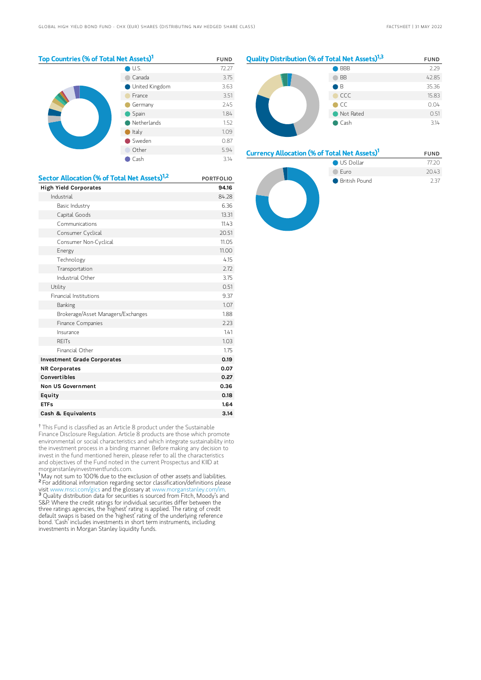| Top Countries (% of Total Net Assets) <sup>1</sup> | <b>FUND</b>    |       |
|----------------------------------------------------|----------------|-------|
|                                                    | U.S.           | 72.27 |
|                                                    | Canada         | 3.75  |
|                                                    | United Kingdom | 3.63  |
|                                                    | France         | 3.51  |
|                                                    | Germany        | 2.45  |
|                                                    | Spain          | 1.84  |
|                                                    | Netherlands    | 1.52  |
|                                                    | Italy          | 1.09  |
|                                                    | Sweden         | 0.87  |
|                                                    | Other          | 5.94  |
|                                                    | Cash           | 3.14  |



## Currency Allocation (% of Total Net Assets)<sup>1</sup> FUND



<sup>†</sup> This Fund is classified as an Article 8 product under the Sustainable Finance Disclosure Regulation. Article 8 products are those which promote environmental or social characteristics and which integrate sustainability into the investment process in a binding manner. Before making any decision to invest in the fund mentioned herein, please refer to all the characteristics and objectives of the Fund noted in the current Prospectus and KIID at morganstanleyinvestmentfunds.com.

<sup>1</sup>May not sum to 100% due to the exclusion of other assets and liabilities. <sup>2</sup> For additional information regarding sector classification/definitions please visit www.msci.com/gics and the glossary at www.morganstanley.com/im. <sup>3</sup> Quality distribution data for securities is sourced from Fitch, Moody's and S&P. Where the credit ratings for individual securities differ between the three ratings agencies, the 'highest' rating is applied. The rating of credit default swaps is based on the 'highest' rating of the underlying reference bond. 'Cash' includes investments in short term instruments, including investments in Morgan Stanley liquidity funds.

# US Dollar 77.20 Euro 20.43 ● British Pound 2.37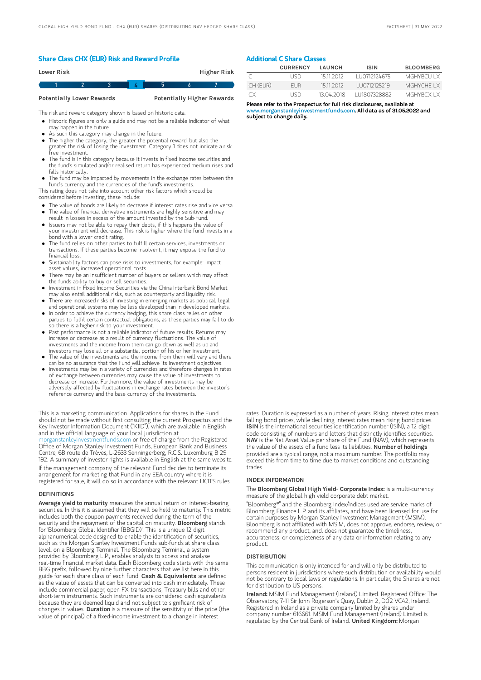### Share Class CHX (EUR) Risk and Reward Profile

|                                  | Lower Risk |  |  |   | Higher Risk                       |
|----------------------------------|------------|--|--|---|-----------------------------------|
|                                  |            |  |  | h |                                   |
| <b>Potentially Lower Rewards</b> |            |  |  |   | <b>Potentially Higher Rewards</b> |

The risk and reward category shown is based on historic data.

Historic figures are only a guide and may not be a reliable indicator of what

- may happen in the future.
- As such this category may change in the future.
- The higher the category, the greater the potential reward, but also the greater the risk of losing the investment. Category 1 does not indicate a risk free investment.
- The fund is in this category because it invests in fixed income securities and the fund's simulated and/or realised return has experienced medium rises and falls historically.
- The fund may be impacted by movements in the exchange rates between the fund's currency and the currencies of the fund's investments.

This rating does not take into account other risk factors which should be considered before investing, these include:

- The value of bonds are likely to decrease if interest rates rise and vice versa.
- The value of financial derivative instruments are highly sensitive and may result in losses in excess of the amount invested by the Sub-Fund.
- Issuers may not be able to repay their debts, if this happens the value of your investment will decrease. This risk is higher where the fund invests in a
- bond with a lower credit rating. The fund relies on other parties to fulfill certain services, investments or
- transactions. If these parties become insolvent, it may expose the fund to financial loss.
- Sustainability factors can pose risks to investments, for example: impact asset values, increased operational costs.
- There may be an insufficient number of buyers or sellers which may affect the funds ability to buy or sell securities.
- Investment in Fixed Income Securities via the China Interbank Bond Market may also entail additional risks, such as counterparty and liquidity risk.
- There are increased risks of investing in emerging markets as political, legal and operational systems may be less developed than in developed markets.
- In order to achieve the currency hedging, this share class relies on other parties to fulfil certain contractual obligations, as these parties may fail to do so there is a higher risk to your investment.
- Past performance is not a reliable indicator of future results. Returns may increase or decrease as a result of currency fluctuations. The value of investments and the income from them can go down as well as up and investors may lose all or a substantial portion of his or her investment.
- The value of the investments and the income from them will vary and there can be no assurance that the Fund will achieve its investment objectives.
- Investments may be in a variety of currencies and therefore changes in rates of exchange between currencies may cause the value of investments to decrease or increase. Furthermore, the value of investments may be adversely affected by fluctuations in exchange rates between the investor's reference currency and the base currency of the investments.

This is a marketing communication. Applications for shares in the Fund should not be made without first consulting the current Prospectus and the Key Investor Information Document ("KIID"), which are available in English and in the official language of your local jurisdiction at

[morganstanleyinvestmentfunds.com](https://www.morganstanley.com/im/msinvf/index.html) or free of charge from the Registered Office of Morgan Stanley Investment Funds, European Bank and Business Centre, 6B route de Trèves, L-2633 Senningerberg, R.C.S. Luxemburg B 29 192. A summary of investor rights is available in English at the same website.

If the management company of the relevant Fund decides to terminate its arrangement for marketing that Fund in any EEA country where it is registered for sale, it will do so in accordance with the relevant UCITS rules.

### **DEFINITIONS**

Average yield to maturity measures the annual return on interest-bearing securities. In this it is assumed that they will be held to maturity. This metric includes both the coupon payments received during the term of the security and the repayment of the capital on maturity. **Bloomberg** stands for 'Bloomberg Global Identifier (BBGID)'. This is a unique 12 digit alphanumerical code designed to enable the identification of securities, such as the Morgan Stanley Investment Funds sub-funds at share class level, on a Bloomberg Terminal. The Bloomberg Terminal, a system provided by Bloomberg L.P., enables analysts to access and analyse real-time financial market data. Each Bloomberg code starts with the same BBG prefix, followed by nine further characters that we list here in this guide for each share class of each fund. Cash & Equivalents are defined as the value of assets that can be converted into cash immediately. These include commercial paper, open FX transactions, Treasury bills and other short-term instruments. Such instruments are considered cash equivalents because they are deemed liquid and not subject to significant risk of changes in values. Duration is a measure of the sensitivity of the price (the value of principal) of a fixed-income investment to a change in interest

# Additional C Share Classes

|          | <b>CURRENCY</b> | I AUNCH    | <b>ISIN</b>   | <b>BLOOMBERG</b> |
|----------|-----------------|------------|---------------|------------------|
|          | I ISD.          | 15 11 2012 | 1110712124675 | MGHYRCU LX       |
| CH (EUR) | FUR.            | 1511 2012  | 1110712125219 | MGHYCHE I X      |
| СX       | I ISD           | 13.04.2018 | 1111807328882 | MGHYRCX LX       |

Please refer to the Prospectus for full risk disclosures, available at ww.morganstanleyinvestmentfunds.com. All data as of 31.05.2022 and subject to change daily.

rates. Duration is expressed as a number of years. Rising interest rates mean falling bond prices, while declining interest rates mean rising bond prices. ISIN is the international securities identification number (ISIN), a 12 digit code consisting of numbers and letters that distinctly identifies securities. NAV is the Net Asset Value per share of the Fund (NAV), which represents the value of the assets of a fund less its liabilities. Number of holdings provided are a typical range, not a maximum number. The portfolio may exceed this from time to time due to market conditions and outstanding trades.

### INDEX INFORMATION

The Bloomberg Global High Yield- Corporate Index: is a multi-currency measure of the global high yield corporate debt market.

"Bloomberg®" and the Bloomberg Index/Indices used are service marks of Bloomberg Finance L.P. and its affiliates, and have been licensed for use for certain purposes by Morgan Stanley Investment Management (MSIM). Bloomberg is not affiliated with MSIM, does not approve, endorse, review, or recommend any product, and. does not guarantee the timeliness, accurateness, or completeness of any data or information relating to any product.

#### DISTRIBUTION

This communication is only intended for and will only be distributed to persons resident in jurisdictions where such distribution or availability would not be contrary to local laws or regulations. In particular, the Shares are not for distribution to US persons.

Ireland: MSIM Fund Management (Ireland) Limited. Registered Office: The Observatory, 7-11 Sir John Rogerson's Quay, Dublin 2, D02 VC42, Ireland. Registered in Ireland as a private company limited by shares under company number 616661. MSIM Fund Management (Ireland) Limited is regulated by the Central Bank of Ireland. United Kingdom: Morgan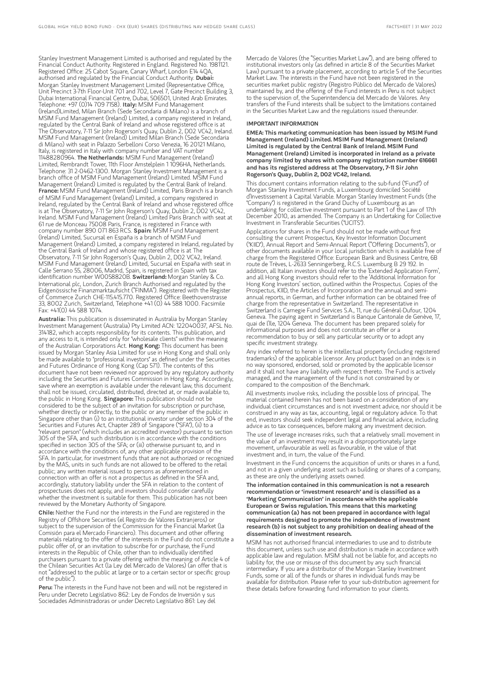Stanley Investment Management Limited is authorised and regulated by the Financial Conduct Authority. Registered in England. Registered No. 1981121. Registered Office: 25 Cabot Square, Canary Wharf, London E14 4QA, authorised and regulated by the Financial Conduct Authority. Dubai: Morgan Stanley Investment Management Limited (Representative Office, Unit Precinct 3-7th Floor-Unit 701 and 702, Level 7, Gate Precinct Building 3, Dubai International Financial Centre, Dubai, 506501, United Arab Emirates. Telephone: +97 (0)14 709 7158). Italy: MSIM Fund Management (Ireland)Limited, Milan Branch (Sede Secondaria di Milano) is a branch of MSIM Fund Management (Ireland) Limited, a company registered in Ireland, regulated by the Central Bank of Ireland and whose registered office is at The Observatory, 7-11 Sir John Rogerson's Quay, Dublin 2, D02 VC42, Ireland. MSIM Fund Management (Ireland) Limited Milan Branch (Sede Secondaria di Milano) with seat in Palazzo Serbelloni Corso Venezia, 16 20121 Milano, Italy, is registered in Italy with company number and VAT number 11488280964. The Netherlands: MSIM Fund Management (Ireland) Limited, Rembrandt Tower, 11th Floor Amstelplein 1 1096HA, Netherlands. Telephone: 31 2-0462-1300. Morgan Stanley Investment Management is a branch office of MSIM Fund Management (Ireland) Limited. MSIM Fund Management (Ireland) Limited is regulated by the Central Bank of Ireland. France: MSIM Fund Management (Ireland) Limited, Paris Branch is a branch of MSIM Fund Management (Ireland) Limited, a company registered in Ireland, regulated by the Central Bank of Ireland and whose registered office is at The Observatory, 7-11 Sir John Rogerson's Quay, Dublin 2, D02 VC42, Ireland. MSIM Fund Management (Ireland) Limited Paris Branch with seat at 61 rue de Monceau 75008 Paris, France, is registered in France with company number 890 071 863 RCS. Spain: MSIM Fund Management (Ireland) Limited, Sucursal en España is a branch of MSIM Fund Management (Ireland) Limited, a company registered in Ireland, regulated by the Central Bank of Ireland and whose registered office is at The Observatory, 7-11 Sir John Rogerson's Quay, Dublin 2, D02 VC42, Ireland. MSIM Fund Management (Ireland) Limited, Sucursal en España with seat in Calle Serrano 55, 28006, Madrid, Spain, is registered in Spain with tax identification number W0058820B. Switzerland: Morgan Stanley & Co. International plc, London, Zurich Branch Authorised and regulated by the Eidgenössische Finanzmarktaufsicht ("FINMA"). Registered with the Register of Commerce Zurich CHE-115.415.770. Registered Office: Beethovenstrasse 33, 8002 Zurich, Switzerland, Telephone +41 (0) 44 588 1000. Facsimile Fax: +41(0) 44 588 1074.

Australia: This publication is disseminated in Australia by Morgan Stanley Investment Management (Australia) Pty Limited ACN: 122040037, AFSL No. 314182, which accepts responsibility for its contents. This publication, and any access to it, is intended only for "wholesale clients" within the meaning<br>of the Australian Corporations Act. **Hong Kong:** This document has been issued by Morgan Stanley Asia Limited for use in Hong Kong and shall only be made available to "professional investors" as defined under the Securities and Futures Ordinance of Hong Kong (Cap 571). The contents of this document have not been reviewed nor approved by any regulatory authority including the Securities and Futures Commission in Hong Kong. Accordingly, save where an exemption is available under the relevant law, this document shall not be issued, circulated, distributed, directed at, or made available to, the public in Hong Kong. Singapore: This publication should not be considered to be the subject of an invitation for subscription or purchase, whether directly or indirectly, to the public or any member of the public in Singapore other than (i) to an institutional investor under section 304 of the Securities and Futures Act, Chapter 289 of Singapore ("SFA"), (ii) to a "relevant person" (which includes an accredited investor) pursuant to section 305 of the SFA, and such distribution is in accordance with the conditions specified in section 305 of the SFA; or (iii) otherwise pursuant to, and in accordance with the conditions of, any other applicable provision of the SFA. In particular, for investment funds that are not authorized or recognized by the MAS, units in such funds are not allowed to be offered to the retail public; any written material issued to persons as aforementioned in connection with an offer is not a prospectus as defined in the SFA and, accordingly, statutory liability under the SFA in relation to the content of prospectuses does not apply, and investors should consider carefully whether the investment is suitable for them. This publication has not been reviewed by the Monetary Authority of Singapore.

Chile: Neither the Fund nor the interests in the Fund are registered in the Registry of Offshore Securities (el Registro de Valores Extranjeros) or subject to the supervision of the Commission for the Financial Market (la Comisión para el Mercado Financiero). This document and other offering materials relating to the offer of the interests in the Fund do not constitute a public offer of, or an invitation to subscribe for or purchase, the Fund interests in the Republic of Chile, other than to individually identified purchasers pursuant to a private offering within the meaning of Article 4 of the Chilean Securities Act (la Ley del Mercado de Valores) (an offer that is not "addressed to the public at large or to a certain sector or specific group of the public").

Peru: The interests in the Fund have not been and will not be registered in Peru under Decreto Legislativo 862: Ley de Fondos de Inversión y sus Sociedades Administradoras or under Decreto Legislativo 861: Ley del

Mercado de Valores (the "Securities Market Law"), and are being offered to institutional investors only (as defined in article 8 of the Securities Market Law) pursuant to a private placement, according to article 5 of the Securities Market Law. The interests in the Fund have not been registered in the securities market public registry (Registro Público del Mercado de Valores) maintained by, and the offering of the Fund interests in Peru is not subject to the supervision of, the Superintendencia del Mercado de Valores. Any transfers of the Fund interests shall be subject to the limitations contained in the Securities Market Law and the regulations issued thereunder.

#### IMPORTANT INFORMATION

EMEA: This marketing communication has been issued by MSIM Fund Management (Ireland) Limited. MSIM Fund Management (Ireland) Limited is regulated by the Central Bank of Ireland. MSIM Fund Management (Ireland) Limited is incorporated in Ireland as a private company limited by shares with company registration number 616661 and has its registered address at The Observatory, 7-11 Sir John Rogerson's Quay, Dublin 2, D02 VC42, Ireland.

This document contains information relating to the sub-fund ("Fund") of Morgan Stanley Investment Funds, a Luxembourg domiciled Société d'Investissement à Capital Variable. Morgan Stanley Investment Funds (the "Company") is registered in the Grand Duchy of Luxembourg as an undertaking for collective investment pursuant to Part 1 of the Law of 17th December 2010, as amended. The Company is an Undertaking for Collective Investment in Transferable Securities ("UCITS").

Applications for shares in the Fund should not be made without first consulting the current Prospectus, Key Investor Information Document ("KIID"), Annual Report and Semi-Annual Report ("Offering Documents"), or other documents available in your local jurisdiction which is available free of charge from the Registered Office: European Bank and Business Centre, 6B route de Trèves, L-2633 Senningerberg, R.C.S. Luxemburg B 29 192. In addition, all Italian investors should refer to the 'Extended Application Form', and all Hong Kong investors should refer to the 'Additional Information for Hong Kong Investors' section, outlined within the Prospectus. Copies of the Prospectus, KIID, the Articles of Incorporation and the annual and semiannual reports, in German, and further information can be obtained free of charge from the representative in Switzerland. The representative in Switzerland is Carnegie Fund Services S.A., 11, rue du Général-Dufour, 1204 Geneva. The paying agent in Switzerland is Banque Cantonale de Genève, 17, quai de l'Ile, 1204 Geneva. The document has been prepared solely for informational purposes and does not constitute an offer or a recommendation to buy or sell any particular security or to adopt any specific investment strategy.

Any index referred to herein is the intellectual property (including registered trademarks) of the applicable licensor. Any product based on an index is in no way sponsored, endorsed, sold or promoted by the applicable licensor and it shall not have any liability with respect thereto. The Fund is actively managed, and the management of the fund is not constrained by or compared to the composition of the Benchmark.

All investments involve risks, including the possible loss of principal. The material contained herein has not been based on a consideration of any individual client circumstances and is not investment advice, nor should it be construed in any way as tax, accounting, legal or regulatory advice. To that end, investors should seek independent legal and financial advice, including advice as to tax consequences, before making any investment decision.

The use of leverage increases risks, such that a relatively small movement in the value of an investment may result in a disproportionately large movement, unfavourable as well as favourable, in the value of that investment and, in turn, the value of the Fund.

Investment in the Fund concerns the acquisition of units or shares in a fund, and not in a given underlying asset such as building or shares of a company, as these are only the underlying assets owned.

The information contained in this communication is not a research recommendation or 'investment research' and is classified as a 'Marketing Communication' in accordance with the applicable European or Swiss regulation. This means that this marketing communication (a) has not been prepared in accordance with legal requirements designed to promote the independence of investment research (b) is not subject to any prohibition on dealing ahead ofthe dissemination of investment research.

MSIM has not authorised financial intermediaries to use and to distribute this document, unless such use and distribution is made in accordance with applicable law and regulation. MSIM shall not be liable for, and accepts no liability for, the use or misuse of this document by any such financial intermediary. If you are a distributor of the Morgan Stanley Investment Funds, some or all of the funds or shares in individual funds may be available for distribution. Please refer to your sub-distribution agreement for these details before forwarding fund information to your clients.